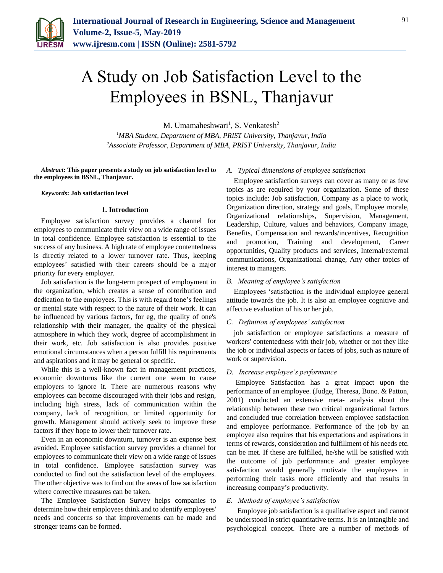

# A Study on Job Satisfaction Level to the Employees in BSNL, Thanjavur

M. Umamaheshwari<sup>1</sup>, S. Venkatesh<sup>2</sup>

*<sup>1</sup>MBA Student, Department of MBA, PRIST University, Thanjavur, India 2Associate Professor, Department of MBA, PRIST University, Thanjavur, India*

*Abstract***: This paper presents a study on job satisfaction level to the employees in BSNL, Thanjavur.**

#### *Keywords***: Job satisfaction level**

#### **1. Introduction**

Employee satisfaction survey provides a channel for employees to communicate their view on a wide range of issues in total confidence. Employee satisfaction is essential to the success of any business. A high rate of employee contentedness is directly related to a lower turnover rate. Thus, keeping employees' satisfied with their careers should be a major priority for every employer.

Job satisfaction is the long-term prospect of employment in the organization, which creates a sense of contribution and dedication to the employees. This is with regard tone's feelings or mental state with respect to the nature of their work. It can be influenced by various factors, for eg, the quality of one's relationship with their manager, the quality of the physical atmosphere in which they work, degree of accomplishment in their work, etc. Job satisfaction is also provides positive emotional circumstances when a person fulfill his requirements and aspirations and it may be general or specific.

While this is a well-known fact in management practices, economic downturns like the current one seem to cause employers to ignore it. There are numerous reasons why employees can become discouraged with their jobs and resign, including high stress, lack of communication within the company, lack of recognition, or limited opportunity for growth. Management should actively seek to improve these factors if they hope to lower their turnover rate.

Even in an economic downturn, turnover is an expense best avoided. Employee satisfaction survey provides a channel for employees to communicate their view on a wide range of issues in total confidence. Employee satisfaction survey was conducted to find out the satisfaction level of the employees. The other objective was to find out the areas of low satisfaction where corrective measures can be taken.

The Employee Satisfaction Survey helps companies to determine how their employees think and to identify employees' needs and concerns so that improvements can be made and stronger teams can be formed.

#### *A. Typical dimensions of employee satisfaction*

Employee satisfaction surveys can cover as many or as few topics as are required by your organization. Some of these topics include: Job satisfaction, Company as a place to work, Organization direction, strategy and goals, Employee morale, Organizational relationships, Supervision, Management, Leadership, Culture, values and behaviors, Company image, Benefits, Compensation and rewards/incentives, Recognition and promotion, Training and development, Career opportunities, Quality products and services, Internal/external communications, Organizational change, Any other topics of interest to managers.

#### *B. Meaning of employee's satisfaction*

Employees 'satisfaction is the individual employee general attitude towards the job. It is also an employee cognitive and affective evaluation of his or her job.

#### *C. Definition of employees' satisfaction*

job satisfaction or employee satisfactions a measure of workers' contentedness with their job, whether or not they like the job or individual aspects or facets of jobs, such as nature of work or supervision.

#### *D. Increase employee's performance*

Employee Satisfaction has a great impact upon the performance of an employee. (Judge, Theresa, Bono. & Patton, 2001) conducted an extensive meta- analysis about the relationship between these two critical organizational factors and concluded true correlation between employee satisfaction and employee performance. Performance of the job by an employee also requires that his expectations and aspirations in terms of rewards, consideration and fulfillment of his needs etc. can be met. If these are fulfilled, he/she will be satisfied with the outcome of job performance and greater employee satisfaction would generally motivate the employees in performing their tasks more efficiently and that results in increasing company's productivity.

#### *E. Methods of employee's satisfaction*

 Employee job satisfaction is a qualitative aspect and cannot be understood in strict quantitative terms. It is an intangible and psychological concept. There are a number of methods of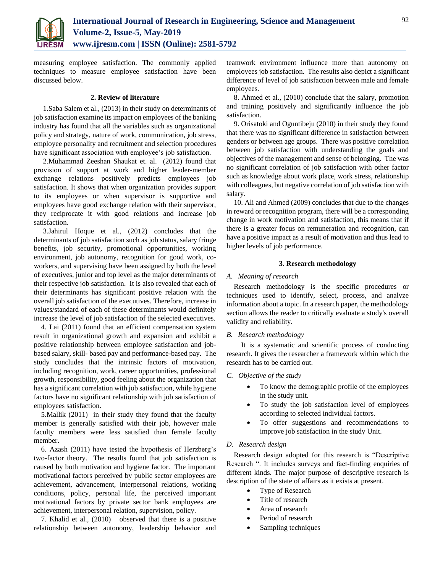

measuring employee satisfaction. The commonly applied techniques to measure employee satisfaction have been discussed below.

#### **2. Review of literature**

1.Saba Salem et al., (2013) in their study on determinants of job satisfaction examine its impact on employees of the banking industry has found that all the variables such as organizational policy and strategy, nature of work, communication, job stress, employee personality and recruitment and selection procedures have significant association with employee's job satisfaction.

2.Muhammad Zeeshan Shaukat et. al. (2012) found that provision of support at work and higher leader-member exchange relations positively predicts employees job satisfaction. It shows that when organization provides support to its employees or when supervisor is supportive and employees have good exchange relation with their supervisor, they reciprocate it with good relations and increase job satisfaction.

3.Jahirul Hoque et al., (2012) concludes that the determinants of job satisfaction such as job status, salary fringe benefits, job security, promotional opportunities, working environment, job autonomy, recognition for good work, coworkers, and supervising have been assigned by both the level of executives, junior and top level as the major determinants of their respective job satisfaction. It is also revealed that each of their determinants has significant positive relation with the overall job satisfaction of the executives. Therefore, increase in values/standard of each of these determinants would definitely increase the level of job satisfaction of the selected executives.

4. Lai (2011) found that an efficient compensation system result in organizational growth and expansion and exhibit a positive relationship between employee satisfaction and jobbased salary, skill- based pay and performance-based pay. The study concludes that the intrinsic factors of motivation, including recognition, work, career opportunities, professional growth, responsibility, good feeling about the organization that has a significant correlation with job satisfaction, while hygiene factors have no significant relationship with job satisfaction of employees satisfaction.

5.Mallik (2011) in their study they found that the faculty member is generally satisfied with their job, however male faculty members were less satisfied than female faculty member.

6. Azash (2011) have tested the hypothesis of Herzberg's two-factor theory. The results found that job satisfaction is caused by both motivation and hygiene factor. The important motivational factors perceived by public sector employees are achievement, advancement, interpersonal relations, working conditions, policy, personal life, the perceived important motivational factors by private sector bank employees are achievement, interpersonal relation, supervision, policy.

7. Khalid et al., (2010) observed that there is a positive relationship between autonomy, leadership behavior and

teamwork environment influence more than autonomy on employees job satisfaction. The results also depict a significant difference of level of job satisfaction between male and female employees.

8. Ahmed et al., (2010) conclude that the salary, promotion and training positively and significantly influence the job satisfaction.

9. Orisatoki and Oguntibeju (2010) in their study they found that there was no significant difference in satisfaction between genders or between age groups. There was positive correlation between job satisfaction with understanding the goals and objectives of the management and sense of belonging. The was no significant correlation of job satisfaction with other factor such as knowledge about work place, work stress, relationship with colleagues, but negative correlation of job satisfaction with salary.

10. Ali and Ahmed (2009) concludes that due to the changes in reward or recognition program, there will be a corresponding change in work motivation and satisfaction, this means that if there is a greater focus on remuneration and recognition, can have a positive impact as a result of motivation and thus lead to higher levels of job performance.

#### **3. Research methodology**

#### *A. Meaning of research*

Research methodology is the specific procedures or techniques used to identify, select, process, and analyze information about a topic. In a research paper, the methodology section allows the reader to critically evaluate a study's overall validity and reliability.

## *B. Research methodology*

It is a systematic and scientific process of conducting research. It gives the researcher a framework within which the research has to be carried out.

## *C. Objective of the study*

- To know the demographic profile of the employees in the study unit.
- To study the job satisfaction level of employees according to selected individual factors.
- To offer suggestions and recommendations to improve job satisfaction in the study Unit.

#### *D. Research design*

Research design adopted for this research is "Descriptive Research ". It includes surveys and fact-finding enquiries of different kinds. The major purpose of descriptive research is description of the state of affairs as it exists at present.

- Type of Research
- Title of research
- Area of research
- Period of research
- Sampling techniques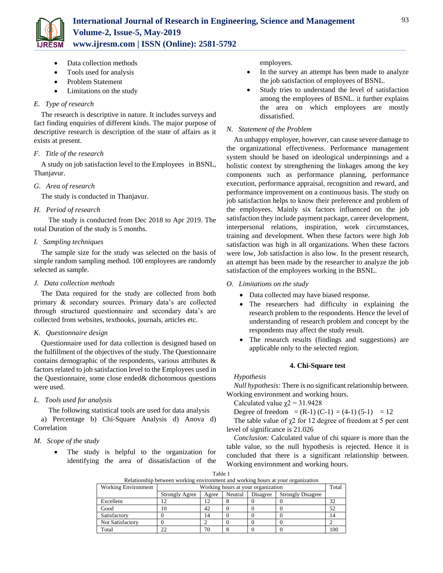

- Data collection methods
- Tools used for analysis
- Problem Statement
- Limitations on the study

# *E. Type of research*

The research is descriptive in nature. It includes surveys and fact finding enquiries of different kinds. The major purpose of descriptive research is description of the state of affairs as it exists at present.

## *F. Title of the research*

A study on job satisfaction level to the Employees in BSNL, Thanjavur.

# *G. Area of research*

The study is conducted in Thanjavur.

# *H. Period of research*

The study is conducted from Dec 2018 to Apr 2019. The total Duration of the study is 5 months.

# *I. Sampling techniques*

The sample size for the study was selected on the basis of simple random sampling method. 100 employees are randomly selected as sample.

# *J. Data collection methods*

The Data required for the study are collected from both primary & secondary sources. Primary data's are collected through structured questionnaire and secondary data's are collected from websites, textbooks, journals, articles etc.

# *K. Questionnaire design*

Questionnaire used for data collection is designed based on the fulfillment of the objectives of the study. The Questionnaire contains demographic of the respondents, various attributes & factors related to job satisfaction level to the Employees used in the Questionnaire, some close ended& dichotomous questions were used.

# *L. Tools used for analysis*

The following statistical tools are used for data analysis a) Percentage b) Chi-Square Analysis d) Anova d) Correlation

## *M. Scope of the study*

 The study is helpful to the organization for identifying the area of dissatisfaction of the employees.

- In the survey an attempt has been made to analyze the job satisfaction of employees of BSNL.
- Study tries to understand the level of satisfaction among the employees of BSNL. it further explains the area on which employees are mostly dissatisfied.

# *N. Statement of the Problem*

An unhappy employee, however, can cause severe damage to the organizational effectiveness. Performance management system should be based on ideological underpinnings and a holistic context by strengthening the linkages among the key components such as performance planning, performance execution, performance appraisal, recognition and reward, and performance improvement on a continuous basis. The study on job satisfaction helps to know their preference and problem of the employees. Mainly six factors influenced on the job satisfaction they include payment package, career development, interpersonal relations, inspiration, work circumstances, training and development. When these factors were high Job satisfaction was high in all organizations. When these factors were low, Job satisfaction is also low. In the present research, an attempt has been made by the researcher to analyze the job satisfaction of the employees working in the BSNL.

# *O. Limitations on the study*

- Data collected may have biased response.
- The researchers had difficulty in explaining the research problem to the respondents. Hence the level of understanding of research problem and concept by the respondents may affect the study result.
- The research results (findings and suggestions) are applicable only to the selected region.

## **4. Chi-Square test**

## *Hypothesis*

*Null hypothesis:* There is no significant relationship between. Working environment and working hours.

Calculated value  $\gamma$ 2 = 31.9428

Degree of freedom =  $(R-1)$   $(C-1)$  =  $(4-1)$   $(5-1)$  = 12

The table value of  $\chi$ 2 for 12 degree of freedom at 5 per cent level of significance is 21.026

*Conclusion:* Calculated value of chi square is more than the table value, so the null hypothesis is rejected. Hence it is concluded that there is a significant relationship between. Working environment and working hours.

| Table 1                                                                         |
|---------------------------------------------------------------------------------|
| Relationship between working environment and working hours at your organization |

| relationship occured working environment and working notifical at your organization |                                    |       |         |          |                          |     |
|-------------------------------------------------------------------------------------|------------------------------------|-------|---------|----------|--------------------------|-----|
| <b>Working Environment</b>                                                          | Working hours at your organization |       |         | Total    |                          |     |
|                                                                                     | <b>Strongly Agree</b>              | Agree | Neutral | Disagree | <b>Strongly Disagree</b> |     |
| Excellent                                                                           |                                    |       |         |          |                          | 32  |
| Good                                                                                | Ю                                  | 42    |         |          |                          | 52  |
| Satisfactory                                                                        |                                    | 14    |         |          |                          | 14  |
| Not Satisfactory                                                                    |                                    |       |         |          |                          |     |
| Total                                                                               | າາ                                 |       |         |          |                          | 100 |

93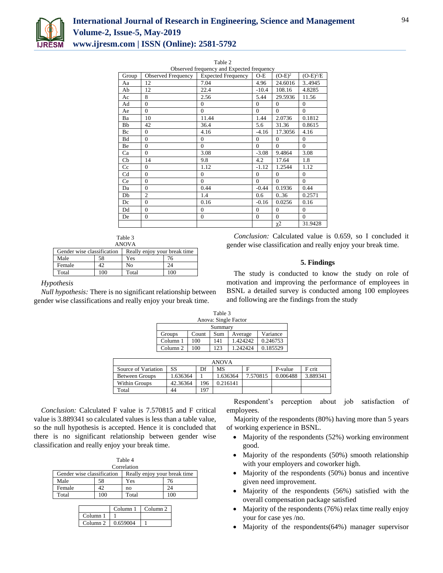

Table 2

| Observed frequency and Expected frequency |                           |                           |              |           |                |  |
|-------------------------------------------|---------------------------|---------------------------|--------------|-----------|----------------|--|
| Group                                     | <b>Observed Frequency</b> | <b>Expected Frequency</b> | $O-E$        | $(O-E)^2$ | $(O-E)^2/E$    |  |
| Aa                                        | 12                        | 7.04                      | 4.96         | 24.6016   | 3.4945         |  |
| Ab                                        | 12                        | 22.4                      | $-10.4$      | 108.16    | 4.8285         |  |
| Ac                                        | 8                         | 2.56                      | 5.44         | 29.5936   | 11.56          |  |
| Ad                                        | $\Omega$                  | $\overline{0}$            | $\Omega$     | $\theta$  | $\overline{0}$ |  |
| Ae                                        | $\Omega$                  | $\Omega$                  | $\Omega$     | $\theta$  | $\theta$       |  |
| Ba                                        | 10                        | 11.44                     | 1.44         | 2.0736    | 0.1812         |  |
| Bb                                        | 42                        | 36.4                      | 5.6          | 31.36     | 0.8615         |  |
| Bc                                        | $\theta$                  | 4.16                      | $-4.16$      | 17.3056   | 4.16           |  |
| <b>Bd</b>                                 | $\theta$                  | $\overline{0}$            | $\mathbf{0}$ | $\theta$  | $\overline{0}$ |  |
| Be                                        | $\theta$                  | $\Omega$                  | $\Omega$     | $\Omega$  | $\Omega$       |  |
| Ca                                        | $\theta$                  | 3.08                      | $-3.08$      | 9.4864    | 3.08           |  |
| Cb                                        | 14                        | 9.8                       | 4.2          | 17.64     | 1.8            |  |
| Cc                                        | $\Omega$                  | 1.12                      | $-1.12$      | 1.2544    | 1.12           |  |
| Cd                                        | $\theta$                  | $\Omega$                  | $\Omega$     | $\Omega$  | $\overline{0}$ |  |
| Ce                                        | $\Omega$                  | $\Omega$                  | $\Omega$     | $\theta$  | $\Omega$       |  |
| Da                                        | $\theta$                  | 0.44                      | $-0.44$      | 0.1936    | 0.44           |  |
| Db                                        | $\overline{2}$            | 1.4                       | 0.6          | 0.36      | 0.2571         |  |
| Dc                                        | $\overline{0}$            | 0.16                      | $-0.16$      | 0.0256    | 0.16           |  |
| Dd                                        | $\theta$                  | $\Omega$                  | $\Omega$     | $\theta$  | $\theta$       |  |
| De                                        | $\mathbf{0}$              | $\overline{0}$            | $\mathbf{0}$ | $\theta$  | $\theta$       |  |
|                                           |                           |                           |              | $\chi$ 2  | 31.9428        |  |

| Table 3 |  |
|---------|--|
| ANOV A  |  |

| AINU V A                   |     |                              |     |  |  |
|----------------------------|-----|------------------------------|-----|--|--|
| Gender wise classification |     | Really enjoy your break time |     |  |  |
| Male                       | 58  | Yes                          | 76  |  |  |
| Female                     |     | No                           | 24  |  |  |
| Total                      | 100 | Total                        | 100 |  |  |

## *Hypothesis*

*Null hypothesis:* There is no significant relationship between gender wise classifications and really enjoy your break time.

*Conclusion:* Calculated value is 0.659, so I concluded it gender wise classification and really enjoy your break time.

# **5. Findings**

The study is conducted to know the study on role of motivation and improving the performance of employees in BSNL a detailed survey is conducted among 100 employees and following are the findings from the study

|          |       | Table 3 |                      |          |
|----------|-------|---------|----------------------|----------|
|          |       |         | Anova: Single Factor |          |
|          |       | Summary |                      |          |
| Groups   | Count | Sum     | Average              | Variance |
| Column 1 | 100   | 141     | 1 424242.            | 0.246753 |
| Column 2 |       | 123     | 1.242424             | 0.185529 |

| <b>ANOVA</b>          |          |     |          |          |          |          |
|-----------------------|----------|-----|----------|----------|----------|----------|
| Source of Variation   | SS       | Df  | MS       |          | P-value  | F crit   |
| <b>Between Groups</b> | .636364  |     | 1.636364 | 7.570815 | 0.006488 | 3.889341 |
| Within Groups         | 42.36364 | 196 | 0.216141 |          |          |          |
| Total                 | 44       | 197 |          |          |          |          |

*Conclusion:* Calculated F value is 7.570815 and F critical value is 3.889341 so calculated values is less than a table value, so the null hypothesis is accepted. Hence it is concluded that there is no significant relationship between gender wise classification and really enjoy your break time.

| Table 4                    |    |                              |     |  |  |  |  |
|----------------------------|----|------------------------------|-----|--|--|--|--|
| Correlation                |    |                              |     |  |  |  |  |
| Gender wise classification |    | Really enjoy your break time |     |  |  |  |  |
| Male                       | 58 | Yes                          | 76  |  |  |  |  |
| Female                     |    | no                           |     |  |  |  |  |
| Total                      | 00 | Total                        | 100 |  |  |  |  |

|                     | Column <sub>1</sub> | Column <sub>2</sub> |
|---------------------|---------------------|---------------------|
| Column <sub>1</sub> |                     |                     |
| Column <sub>2</sub> | 0.659004            |                     |

Respondent's perception about job satisfaction of employees.

Majority of the respondents (80%) having more than 5 years of working experience in BSNL.

- Majority of the respondents (52%) working environment good.
- Majority of the respondents (50%) smooth relationship with your employers and coworker high.
- Majority of the respondents (50%) bonus and incentive given need improvement.
- Majority of the respondents (56%) satisfied with the overall compensation package satisfied
- Majority of the respondents (76%) relax time really enjoy your for case yes /no.
- Majority of the respondents(64%) manager supervisor